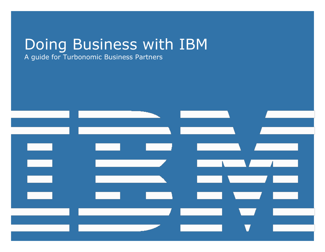# Doing Business with IBM

A guide for Turbonomic Business Partners

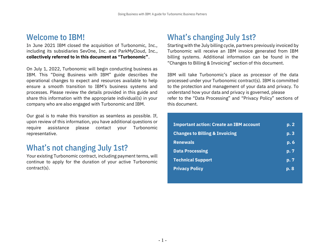#### Welcome to IBM!

In June 2021 IBM closed the acquisition of Turbonomic, Inc., including its subsidiaries SevOne, Inc. and ParkMyCloud, Inc., **collectively referred to in this document as "Turbonomic"**.

On July 1, 2022, Turbonomic will begin conducting business as IBM. This "Doing Business with IBM" guide describes the operational changes to expect and resources available to help ensure a smooth transition to IBM's business systems and processes. Please review the details provided in this guide and share this information with the appropriate individual(s) in your company who are also engaged with Turbonomic and IBM.

Our goal is to make this transition as seamless as possible. If, upon review of this information, you have additional questions or require assistance please contact your Turbonomic representative.

### What's not changing July 1st?

Your existing Turbonomic contract, including payment terms, will continue to apply for the duration of your active Turbonomic contract(s).

## What's changing July 1st?

Starting with the July billing cycle, partners previously invoiced by Turbonomic will receive an IBM invoice generated from IBM billing systems. Additional information can be found in the "Changes to Billing & Invoicing" section of this document.

IBM will take Turbonomic's place as processor of the data processed under your Turbonomic contract(s). IBM is committed to the protection and management of your data and privacy. To understand how your data and privacy is governed, please refer to the "Data Processing" and "Privacy Policy" sections of this document.

| <b>Important action: Create an IBM account</b> | p.2            |
|------------------------------------------------|----------------|
| <b>Changes to Billing &amp; Invoicing</b>      | p.3            |
| <b>Renewals</b>                                | p.6            |
| <b>Data Processing</b>                         | p. 7           |
| <b>Technical Support</b>                       | p.7            |
| <b>Privacy Policy</b>                          | $\mathbf{p.8}$ |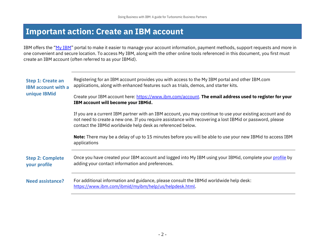#### <span id="page-2-0"></span>**Important action: Create an IBM account**

IBM offers the "[My IBM](https://myibm.ibm.com/)" portal to make it easier to manage your account information, payment methods, support requests and more in one convenient and secure location. To access My IBM, along with the other online tools referenced in this document, you first must create an IBM account (often referred to as your IBMid).

<span id="page-2-1"></span>

| Step 1: Create an<br><b>IBM account with a</b><br>unique IBMid | Registering for an IBM account provides you with access to the My IBM portal and other IBM.com<br>applications, along with enhanced features such as trials, demos, and starter kits.                                                                                                |  |  |
|----------------------------------------------------------------|--------------------------------------------------------------------------------------------------------------------------------------------------------------------------------------------------------------------------------------------------------------------------------------|--|--|
|                                                                | Create your IBM account here: https://www.ibm.com/account. The email address used to register for your<br>IBM account will become your IBMid.                                                                                                                                        |  |  |
|                                                                | If you are a current IBM partner with an IBM account, you may continue to use your existing account and do<br>not need to create a new one. If you require assistance with recovering a lost IBMid or password, please<br>contact the IBMid worldwide help desk as referenced below. |  |  |
|                                                                | Note: There may be a delay of up to 15 minutes before you will be able to use your new IBMid to access IBM<br>applications                                                                                                                                                           |  |  |
| <b>Step 2: Complete</b><br>your profile                        | Once you have created your IBM account and logged into My IBM using your IBMid, complete your <i>profile</i> by<br>adding your contact information and preferences.                                                                                                                  |  |  |
| <b>Need assistance?</b>                                        | For additional information and guidance, please consult the IBMid worldwide help desk:<br>https://www.ibm.com/ibmid/myibm/help/us/helpdesk.html.                                                                                                                                     |  |  |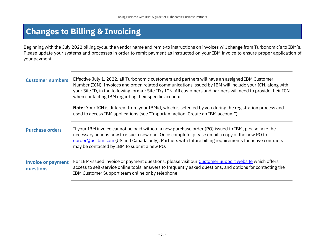## **Changes to Billing & Invoicing**

Beginning with the July 2022 billing cycle, the vendor name and remit-to instructions on invoices will change from Turbonomic's to IBM's. Please update your systems and processes in order to remit payment as instructed on your IBM invoice to ensure proper application of your payment.

<span id="page-3-0"></span>

| <b>Customer numbers</b>                | Effective July 1, 2022, all Turbonomic customers and partners will have an assigned IBM Customer<br>Number (ICN). Invoices and order-related communications issued by IBM will include your ICN, along with<br>your Site ID, in the following format: Site ID / ICN. All customers and partners will need to provide their ICN<br>when contacting IBM regarding their specific account. |  |  |
|----------------------------------------|-----------------------------------------------------------------------------------------------------------------------------------------------------------------------------------------------------------------------------------------------------------------------------------------------------------------------------------------------------------------------------------------|--|--|
|                                        | Note: Your ICN is different from your IBMid, which is selected by you during the registration process and<br>used to access IBM applications (see "Important action: Create an IBM account").                                                                                                                                                                                           |  |  |
| <b>Purchase orders</b>                 | If your IBM invoice cannot be paid without a new purchase order (PO) issued to IBM, please take the<br>necessary actions now to issue a new one. Once complete, please email a copy of the new PO to<br>eorder@us.ibm.com (US and Canada only). Partners with future billing requirements for active contracts<br>may be contacted by IBM to submit a new PO.                           |  |  |
| <b>Invoice or payment</b><br>questions | For IBM-issued invoice or payment questions, please visit our Customer Support website which offers<br>access to self-service online tools, answers to frequently asked questions, and options for contacting the<br>IBM Customer Support team online or by telephone.                                                                                                                  |  |  |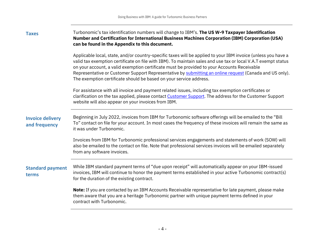**Taxes** Turbonomic's tax identification numbers will change to IBM's. **The US W-9 Taxpayer Identification Number and Certification for International Business Machines Corporation (IBM) Corporation (USA) can be found in the Appendix to this document.**

> Applicable local, state, and/or country-specific taxes will be applied to your IBM invoice (unless you have a valid tax exemption certificate on file with IBM). To maintain sales and use tax or local V.A.T exempt status on your account, a valid exemption certificate must be provided to your Accounts Receivable Representative or Customer Support Representative by [submitting an online request](https://www.ibm.com/ask) (Canada and US only). The exemption certificate should be based on your service address.

For assistance with all invoice and payment related issues, including tax exemption certificates or clarification on the tax applied, please contac[t Customer Support.](https://www.ibm.com/support/pages/node/6415743) The address for the Customer Support website will also appear on your invoices from IBM.

#### **Invoice delivery and frequency** Beginning in July 2022, invoices from IBM for Turbonomic software offerings will be emailed to the "Bill To" contact on file for your account. In most cases the frequency of these invoices will remain the same as it was under Turbonomic.

Invoices from IBM for Turbonomic professional services engagements and statements of work (SOW) will also be emailed to the contact on file. Note that professional services invoices will be emailed separately from any software invoices.

#### **Standard payment terms**

While IBM standard payment terms of "due upon receipt" will automatically appear on your IBM-issued invoices, IBM will continue to honor the payment terms established in your active Turbonomic contract(s) for the duration of the existing contract.

**Note:** If you are contacted by an IBM Accounts Receivable representative for late payment, please make them aware that you are a heritage Turbonomic partner with unique payment terms defined in your contract with Turbonomic.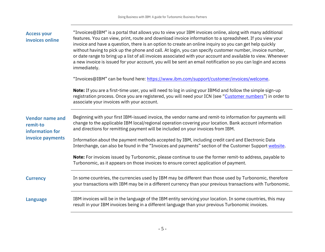| <b>Access your</b><br>invoices online                                     | "Invoices@IBM" is a portal that allows you to view your IBM invoices online, along with many additional<br>features. You can view, print, route and download invoice information to a spreadsheet. If you view your<br>invoice and have a question, there is an option to create an online inquiry so you can get help quickly<br>without having to pick up the phone and call. At login, you can specify customer number, invoice number,<br>or date range to bring up a list of all invoices associated with your account and available to view. Whenever<br>a new invoice is issued for your account, you will be sent an email notification so you can login and access<br>immediately. |  |
|---------------------------------------------------------------------------|---------------------------------------------------------------------------------------------------------------------------------------------------------------------------------------------------------------------------------------------------------------------------------------------------------------------------------------------------------------------------------------------------------------------------------------------------------------------------------------------------------------------------------------------------------------------------------------------------------------------------------------------------------------------------------------------|--|
|                                                                           | "Invoices@IBM" can be found here: https://www.ibm.com/support/customer/invoices/welcome.                                                                                                                                                                                                                                                                                                                                                                                                                                                                                                                                                                                                    |  |
| <b>Vendor name and</b><br>remit-to<br>information for<br>invoice payments | Note: If you are a first-time user, you will need to log in using your IBMid and follow the simple sign-up<br>registration process. Once you are registered, you will need your ICN (see "Customer numbers") in order to<br>associate your invoices with your account.                                                                                                                                                                                                                                                                                                                                                                                                                      |  |
|                                                                           | Beginning with your first IBM-issued invoice, the vendor name and remit-to information for payments will<br>change to the applicable IBM local/regional operation covering your location. Bank account information<br>and directions for remitting payment will be included on your invoices from IBM.                                                                                                                                                                                                                                                                                                                                                                                      |  |
|                                                                           | Information about the payment methods accepted by IBM, including credit card and Electronic Data<br>Interchange, can also be found in the "Invoices and payments" section of the Customer Support website.                                                                                                                                                                                                                                                                                                                                                                                                                                                                                  |  |
|                                                                           | Note: For invoices issued by Turbonomic, please continue to use the former remit-to address, payable to<br>Turbonomic, as it appears on those invoices to ensure correct application of payment.                                                                                                                                                                                                                                                                                                                                                                                                                                                                                            |  |
| <b>Currency</b>                                                           | In some countries, the currencies used by IBM may be different than those used by Turbonomic, therefore<br>your transactions with IBM may be in a different currency than your previous transactions with Turbonomic.                                                                                                                                                                                                                                                                                                                                                                                                                                                                       |  |
| <b>Language</b>                                                           | IBM invoices will be in the language of the IBM entity servicing your location. In some countries, this may<br>result in your IBM invoices being in a different language than your previous Turbonomic invoices.                                                                                                                                                                                                                                                                                                                                                                                                                                                                            |  |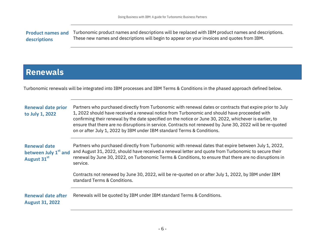**Product names and descriptions** Turbonomic product names and descriptions will be replaced with IBM product names and descriptions. These new names and descriptions will begin to appear on your invoices and quotes from IBM.

### <span id="page-6-0"></span>**Renewals**

Turbonomic renewals will be integrated into IBM processes and IBM Terms & Conditions in the phased approach defined below.

| <b>Renewal date prior</b><br>to July 1, 2022                           | Partners who purchased directly from Turbonomic with renewal dates or contracts that expire prior to July<br>1, 2022 should have received a renewal notice from Turbonomic and should have proceeded with<br>confirming their renewal by the date specified on the notice or June 30, 2022, whichever is earlier, to<br>ensure that there are no disruptions in service. Contracts not renewed by June 30, 2022 will be re-quoted<br>on or after July 1, 2022 by IBM under IBM standard Terms & Conditions. |
|------------------------------------------------------------------------|-------------------------------------------------------------------------------------------------------------------------------------------------------------------------------------------------------------------------------------------------------------------------------------------------------------------------------------------------------------------------------------------------------------------------------------------------------------------------------------------------------------|
| <b>Renewal date</b><br>between July 1 <sup>st</sup> and<br>August 31st | Partners who purchased directly from Turbonomic with renewal dates that expire between July 1, 2022,<br>and August 31, 2022, should have received a renewal letter and quote from Turbonomic to secure their<br>renewal by June 30, 2022, on Turbonomic Terms & Conditions, to ensure that there are no disruptions in<br>service.                                                                                                                                                                          |
|                                                                        | Contracts not renewed by June 30, 2022, will be re-quoted on or after July 1, 2022, by IBM under IBM<br>standard Terms & Conditions.                                                                                                                                                                                                                                                                                                                                                                        |
| <b>Renewal date after</b><br><b>August 31, 2022</b>                    | Renewals will be quoted by IBM under IBM standard Terms & Conditions.                                                                                                                                                                                                                                                                                                                                                                                                                                       |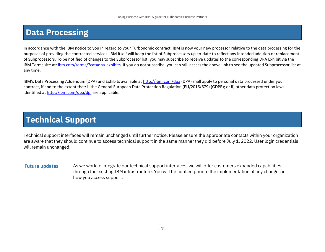## <span id="page-7-0"></span>**Data Processing**

In accordance with the IBM notice to you in regard to your Turbonomic contract, IBM is now your new processor relative to the data processing for the purposes of providing the contracted services. IBM itself will keep the list of Subprocessors up-to-date to reflect any intended addition or replacement of Subprocessors. To be notified of changes to the Subprocessor list, you may subscribe to receive updates to the corresponding DPA Exhibit via the IBM Terms site at: [ibm.com/terms/?cat=dpa-exhibits.](http://ibm.com/terms/?cat=dpa-exhibits) If you do not subscribe, you can still access the above link to see the updated Subprocessor list at any time.

IBM's Data Processing Addendum (DPA) and Exhibits available at <http://ibm.com/dpa> (DPA) shall apply to personal data processed under your contract, if and to the extent that: i) the General European Data Protection Regulation (EU/2016/679) (GDPR); or ii) other data protection laws identified at <http://ibm.com/dpa/dpl> are applicable.

## **Technical Support**

Technical support interfaces will remain unchanged until further notice. Please ensure the appropriate contacts within your organization are aware that they should continue to access technical support in the same manner they did before July 1, 2022. User login credentials will remain unchanged.

Future updates As we work to integrate our technical support interfaces, we will offer customers expanded capabilities through the existing IBM infrastructure. You will be notified prior to the implementation of any changes in how you access support.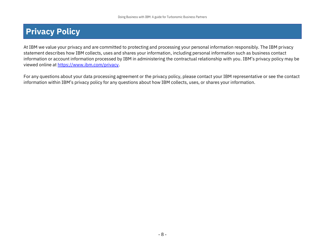## **Privacy Policy**

At IBM we value your privacy and are committed to protecting and processing your personal information responsibly. The IBM privacy statement describes how IBM collects, uses and shares your information, including personal information such as business contact information or account information processed by IBM in administering the contractual relationship with you. IBM's privacy policy may be viewed online a[t https://www.ibm.com/privacy.](https://www.ibm.com/privacy)

For any questions about your data processing agreement or the privacy policy, please contact your IBM representative or see the contact information within IBM's privacy policy for any questions about how IBM collects, uses, or shares your information.